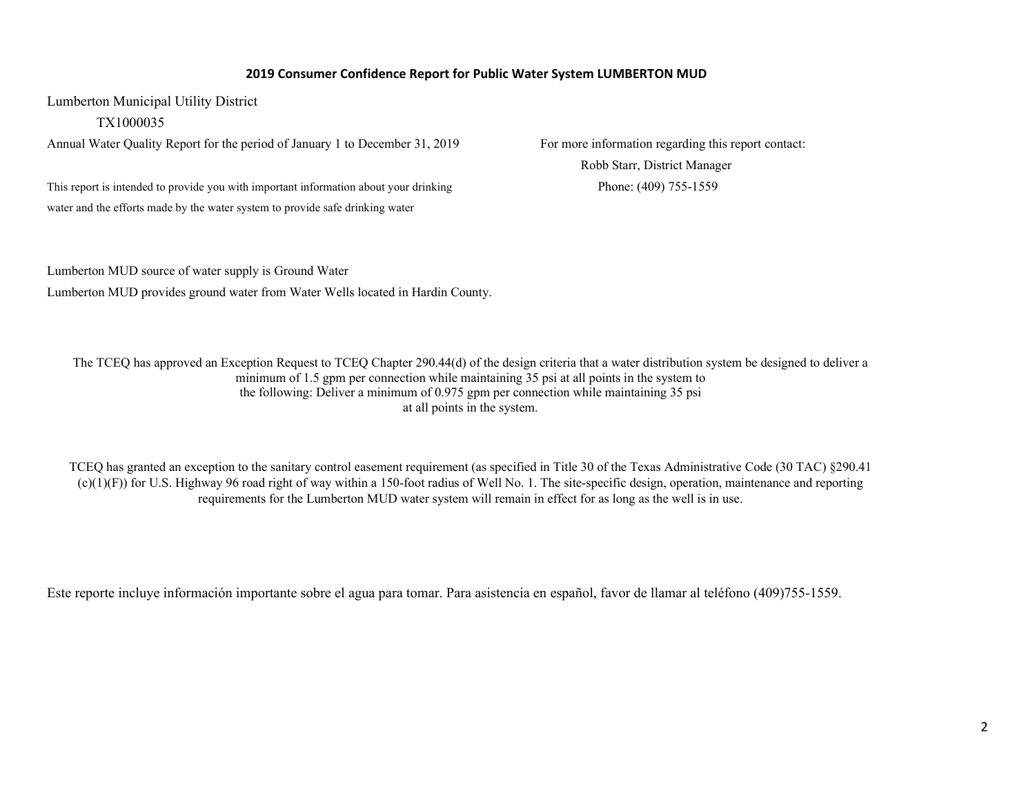## **2019 Consumer Confidence Report for Public Water System LUMBERTON MUD**

Lumberton Municipal Utility District

TX1000035

Annual Water Quality Report for the period of January 1 to December 31, 2019 For more information regarding this report contact:

This report is intended to provide you with important information about your drinking Phone: (409) 755-1559 water and the efforts made by the water system to provide safe drinking water

Robb Starr, District Manager

Lumberton MUD source of water supply is Ground Water Lumberton MUD provides ground water from Water Wells located in Hardin County.

The TCEQ has approved an Exception Request to TCEQ Chapter 290.44(d) of the design criteria that a water distribution system be designed to deliver a minimum of 1.5 gpm per connection while maintaining 35 psi at all points in the system to the following: Deliver a minimum of 0.975 gpm per connection while maintaining 35 psi at all points in the system.

TCEQ has granted an exception to the sanitary control easement requirement (as specified in Title 30 of the Texas Administrative Code (30 TAC) §290.41 (c)(1)(F)) for U.S. Highway 96 road right of way within a 150-foot radius of Well No. 1. The site-specific design, operation, maintenance and reporting requirements for the Lumberton MUD water system will remain in effect for as long as the well is in use.

Este reporte incluye información importante sobre el agua para tomar. Para asistencia en español, favor de llamar al teléfono (409)755-1559.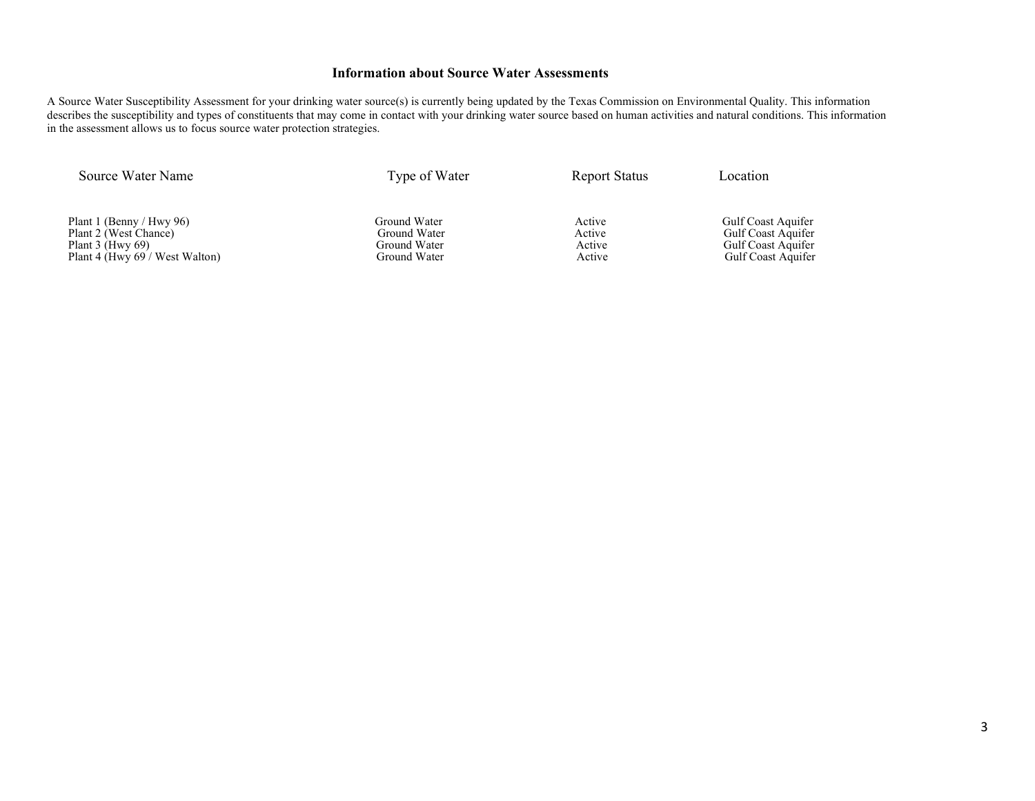### **Information about Source Water Assessments**

A Source Water Susceptibility Assessment for your drinking water source(s) is currently being updated by the Texas Commission on Environmental Quality. This information describes the susceptibility and types of constituents that may come in contact with your drinking water source based on human activities and natural conditions. This information in the assessment allows us to focus source water protection strategies.

Source Water Name Type of Water Report Status Location

Plant 1 (Benny / Hwy 96) Ground Water Active Gulf Coast Aquifer Plant 2 (West Chance) Communication Ground Water Active Gulf Coast Aquifer Plant 2 (West Chance) Communication Ground Water Active Gulf Coast Aquifer Plant 2 (West Chance) Ground Water Active Plant 3 (Hwy 69) Ground Water Active Active Active Plant 4 (Hwy  $69'$  West Walton)

Port 3 (Figure 2) Gulf Coast Aquifer<br>
Stround Water Active Active Gulf Coast Aquifer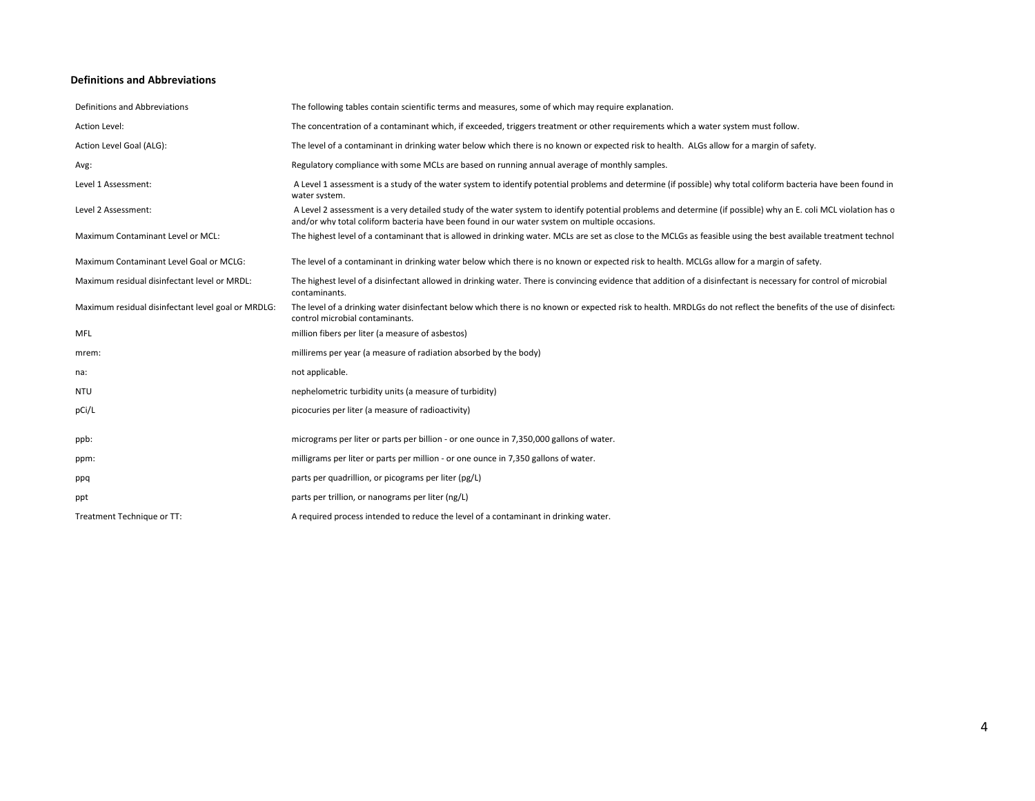#### **Definitions and Abbreviations**

| Definitions and Abbreviations                      | The following tables contain scientific terms and measures, some of which may require explanation.                                                                                                                                                               |
|----------------------------------------------------|------------------------------------------------------------------------------------------------------------------------------------------------------------------------------------------------------------------------------------------------------------------|
| Action Level:                                      | The concentration of a contaminant which, if exceeded, triggers treatment or other requirements which a water system must follow.                                                                                                                                |
| Action Level Goal (ALG):                           | The level of a contaminant in drinking water below which there is no known or expected risk to health. ALGs allow for a margin of safety.                                                                                                                        |
| Avg:                                               | Regulatory compliance with some MCLs are based on running annual average of monthly samples.                                                                                                                                                                     |
| Level 1 Assessment:                                | A Level 1 assessment is a study of the water system to identify potential problems and determine (if possible) why total coliform bacteria have been found in<br>water system.                                                                                   |
| Level 2 Assessment:                                | A Level 2 assessment is a very detailed study of the water system to identify potential problems and determine (if possible) why an E. coli MCL violation has c<br>and/or why total coliform bacteria have been found in our water system on multiple occasions. |
| Maximum Contaminant Level or MCL:                  | The highest level of a contaminant that is allowed in drinking water. MCLs are set as close to the MCLGs as feasible using the best available treatment technol                                                                                                  |
| Maximum Contaminant Level Goal or MCLG:            | The level of a contaminant in drinking water below which there is no known or expected risk to health. MCLGs allow for a margin of safety.                                                                                                                       |
| Maximum residual disinfectant level or MRDL:       | The highest level of a disinfectant allowed in drinking water. There is convincing evidence that addition of a disinfectant is necessary for control of microbial<br>contaminants.                                                                               |
| Maximum residual disinfectant level goal or MRDLG: | The level of a drinking water disinfectant below which there is no known or expected risk to health. MRDLGs do not reflect the benefits of the use of disinfect:<br>control microbial contaminants.                                                              |
| <b>MFL</b>                                         | million fibers per liter (a measure of asbestos)                                                                                                                                                                                                                 |
| mrem:                                              | millirems per year (a measure of radiation absorbed by the body)                                                                                                                                                                                                 |
| na:                                                | not applicable.                                                                                                                                                                                                                                                  |
| NTU                                                | nephelometric turbidity units (a measure of turbidity)                                                                                                                                                                                                           |
| pCi/L                                              | picocuries per liter (a measure of radioactivity)                                                                                                                                                                                                                |
| ppb:                                               | micrograms per liter or parts per billion - or one ounce in 7,350,000 gallons of water.                                                                                                                                                                          |
| ppm:                                               | milligrams per liter or parts per million - or one ounce in 7,350 gallons of water.                                                                                                                                                                              |
| ppq                                                | parts per quadrillion, or picograms per liter (pg/L)                                                                                                                                                                                                             |
| ppt                                                | parts per trillion, or nanograms per liter (ng/L)                                                                                                                                                                                                                |
| Treatment Technique or TT:                         | A required process intended to reduce the level of a contaminant in drinking water.                                                                                                                                                                              |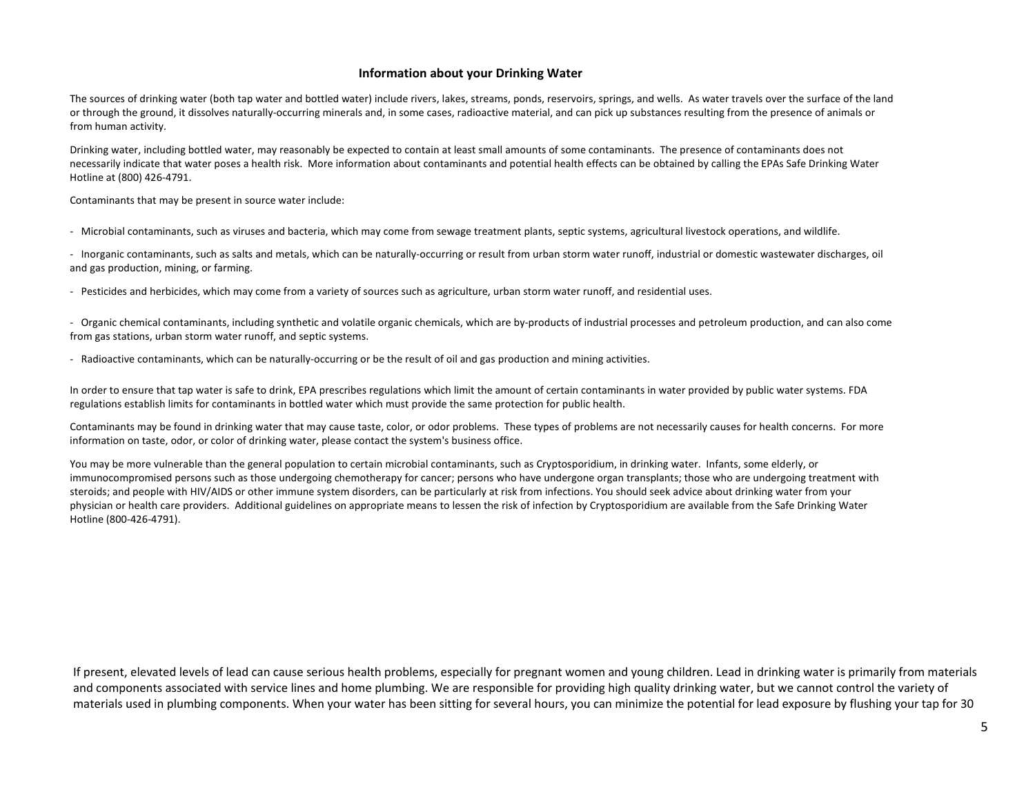### **Information about your Drinking Water**

The sources of drinking water (both tap water and bottled water) include rivers, lakes, streams, ponds, reservoirs, springs, and wells. As water travels over the surface of the land or through the ground, it dissolves naturally-occurring minerals and, in some cases, radioactive material, and can pick up substances resulting from the presence of animals or from human activity.

Drinking water, including bottled water, may reasonably be expected to contain at least small amounts of some contaminants. The presence of contaminants does not necessarily indicate that water poses a health risk. More information about contaminants and potential health effects can be obtained by calling the EPAs Safe Drinking Water Hotline at (800) 426-4791.

Contaminants that may be present in source water include:

- Microbial contaminants, such as viruses and bacteria, which may come from sewage treatment plants, septic systems, agricultural livestock operations, and wildlife.

- Inorganic contaminants, such as salts and metals, which can be naturally-occurring or result from urban storm water runoff, industrial or domestic wastewater discharges, oil and gas production, mining, or farming.

- Pesticides and herbicides, which may come from a variety of sources such as agriculture, urban storm water runoff, and residential uses.

- Organic chemical contaminants, including synthetic and volatile organic chemicals, which are by-products of industrial processes and petroleum production, and can also come from gas stations, urban storm water runoff, and septic systems.

- Radioactive contaminants, which can be naturally-occurring or be the result of oil and gas production and mining activities.

In order to ensure that tap water is safe to drink, EPA prescribes regulations which limit the amount of certain contaminants in water provided by public water systems. FDA regulations establish limits for contaminants in bottled water which must provide the same protection for public health.

Contaminants may be found in drinking water that may cause taste, color, or odor problems. These types of problems are not necessarily causes for health concerns. For more information on taste, odor, or color of drinking water, please contact the system's business office.

You may be more vulnerable than the general population to certain microbial contaminants, such as Cryptosporidium, in drinking water. Infants, some elderly, or immunocompromised persons such as those undergoing chemotherapy for cancer; persons who have undergone organ transplants; those who are undergoing treatment with steroids; and people with HIV/AIDS or other immune system disorders, can be particularly at risk from infections. You should seek advice about drinking water from your physician or health care providers. Additional guidelines on appropriate means to lessen the risk of infection by Cryptosporidium are available from the Safe Drinking Water Hotline (800-426-4791).

If present, elevated levels of lead can cause serious health problems, especially for pregnant women and young children. Lead in drinking water is primarily from materials and components associated with service lines and home plumbing. We are responsible for providing high quality drinking water, but we cannot control the variety of materials used in plumbing components. When your water has been sitting for several hours, you can minimize the potential for lead exposure by flushing your tap for 30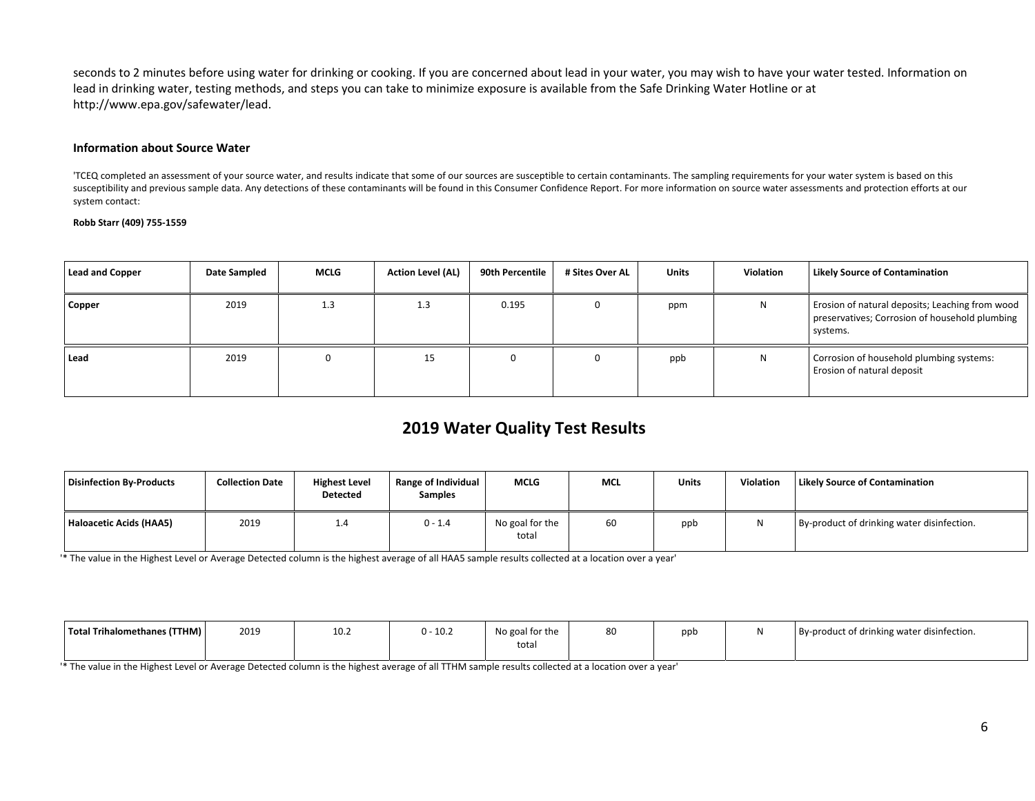seconds to 2 minutes before using water for drinking or cooking. If you are concerned about lead in your water, you may wish to have your water tested. Information on lead in drinking water, testing methods, and steps you can take to minimize exposure is available from the Safe Drinking Water Hotline or at http://www.epa.gov/safewater/lead.

#### **Information about Source Water**

'TCEQ completed an assessment of your source water, and results indicate that some of our sources are susceptible to certain contaminants. The sampling requirements for your water system is based on this susceptibility and previous sample data. Any detections of these contaminants will be found in this Consumer Confidence Report. For more information on source water assessments and protection efforts at our system contact:

#### **Robb Starr (409) 755-1559**

| <b>Lead and Copper</b> | Date Sampled | <b>MCLG</b> | <b>Action Level (AL)</b> | 90th Percentile | # Sites Over AL | <b>Units</b> | <b>Violation</b> | <b>Likely Source of Contamination</b>                                                                         |
|------------------------|--------------|-------------|--------------------------|-----------------|-----------------|--------------|------------------|---------------------------------------------------------------------------------------------------------------|
| Copper                 | 2019         | 1.3         | 1.3                      | 0.195           |                 | ppm          | N                | Erosion of natural deposits; Leaching from wood<br>preservatives; Corrosion of household plumbing<br>systems. |
| Lead                   | 2019         |             | 15                       |                 |                 | ppb          | N                | Corrosion of household plumbing systems:<br>Erosion of natural deposit                                        |

# **2019 Water Quality Test Results**

| Disinfection By-Products | <b>Collection Date</b> | <b>Highest Level</b><br>Detected | <b>Range of Individual</b><br><b>Samples</b> | MCLG                     | <b>MCL</b> | <b>Units</b> | Violation | <b>Likely Source of Contamination</b>      |
|--------------------------|------------------------|----------------------------------|----------------------------------------------|--------------------------|------------|--------------|-----------|--------------------------------------------|
| Haloacetic Acids (HAA5)  | 2019                   | 1.4                              | $0 - 1.4$                                    | No goal for the<br>total | 60         | ppb          |           | By-product of drinking water disinfection. |

'\* The value in the Highest Level or Average Detected column is the highest average of all HAA5 sample results collected at a location over a year'

| Total Trihalomethanes (TTHM) | 2019 | 10.2 | $0 - 10.2$ | No goal for the<br>total | ΩO | ppb | By-product of drinking water disinfection. |
|------------------------------|------|------|------------|--------------------------|----|-----|--------------------------------------------|
|                              |      |      |            |                          |    |     |                                            |

'\* The value in the Highest Level or Average Detected column is the highest average of all TTHM sample results collected at a location over a year'